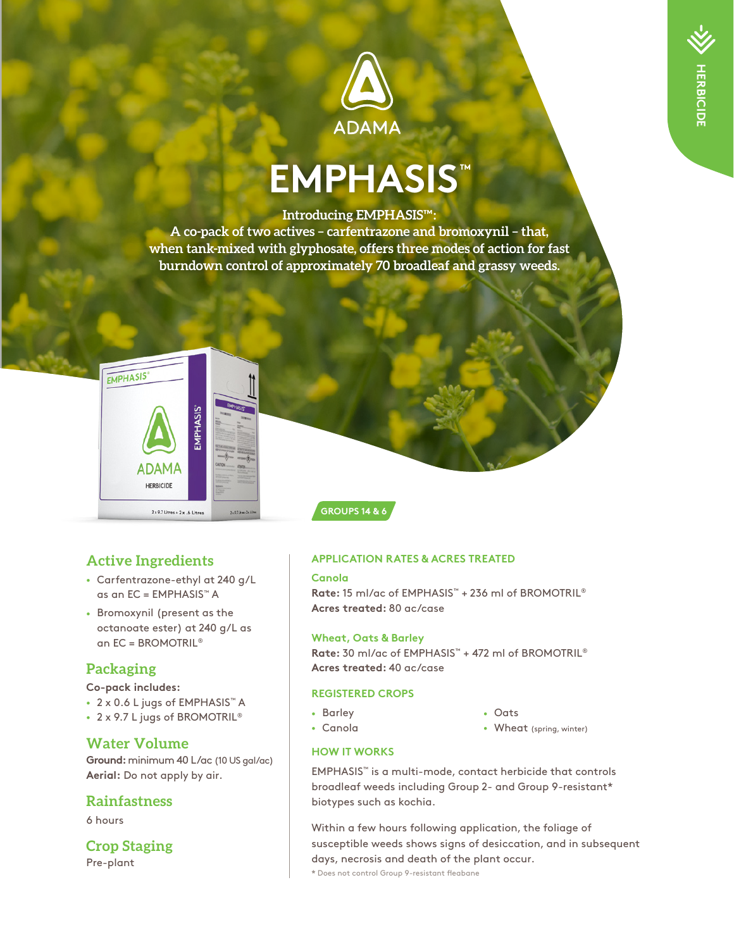

# **EMPHASIS™**

#### **Introducing EMPHASIS™:**

**A co-pack of two actives – carfentrazone and bromoxynil – that, when tank-mixed with glyphosate, offers three modes of action for fast burndown control of approximately 70 broadleaf and grassy weeds.**



**GROUPS 14 & 6**

# **Active Ingredients**

- Carfentrazone-ethyl at 240 g/L as an EC = EMPHASIS™ A
- Bromoxynil (present as the octanoate ester) at 240 g/L as an EC = BROMOTRIL®

## **Packaging**

**Co-pack includes:**

- 2 x 0.6 L jugs of EMPHASIS™ A
- 2 x 9.7 L jugs of BROMOTRIL<sup>®</sup>

### **Water Volume**

**Ground:** minimum 40 L/ac (10 US gal/ac) **Aerial:** Do not apply by air.

#### **Rainfastness**

6 hours

**Crop Staging** Pre-plant

#### **APPLICATION RATES & ACRES TREATED**

#### **Canola**

**Rate:** 15 ml/ac of EMPHASIS™ + 236 ml of BROMOTRIL® **Acres treated:** 80 ac/case

#### **Wheat, Oats & Barley**

**Rate:** 30 ml/ac of EMPHASIS™ + 472 ml of BROMOTRIL® **Acres treated:** 40 ac/case

#### **REGISTERED CROPS**

- Barley
- Canola
- Oats
- Wheat (spring, winter)

#### **HOW IT WORKS**

EMPHASIS™ is a multi-mode, contact herbicide that controls broadleaf weeds including Group 2- and Group 9-resistant\* biotypes such as kochia.

Within a few hours following application, the foliage of susceptible weeds shows signs of desiccation, and in subsequent days, necrosis and death of the plant occur.

**\*** Does not control Group 9-resistant fleabane